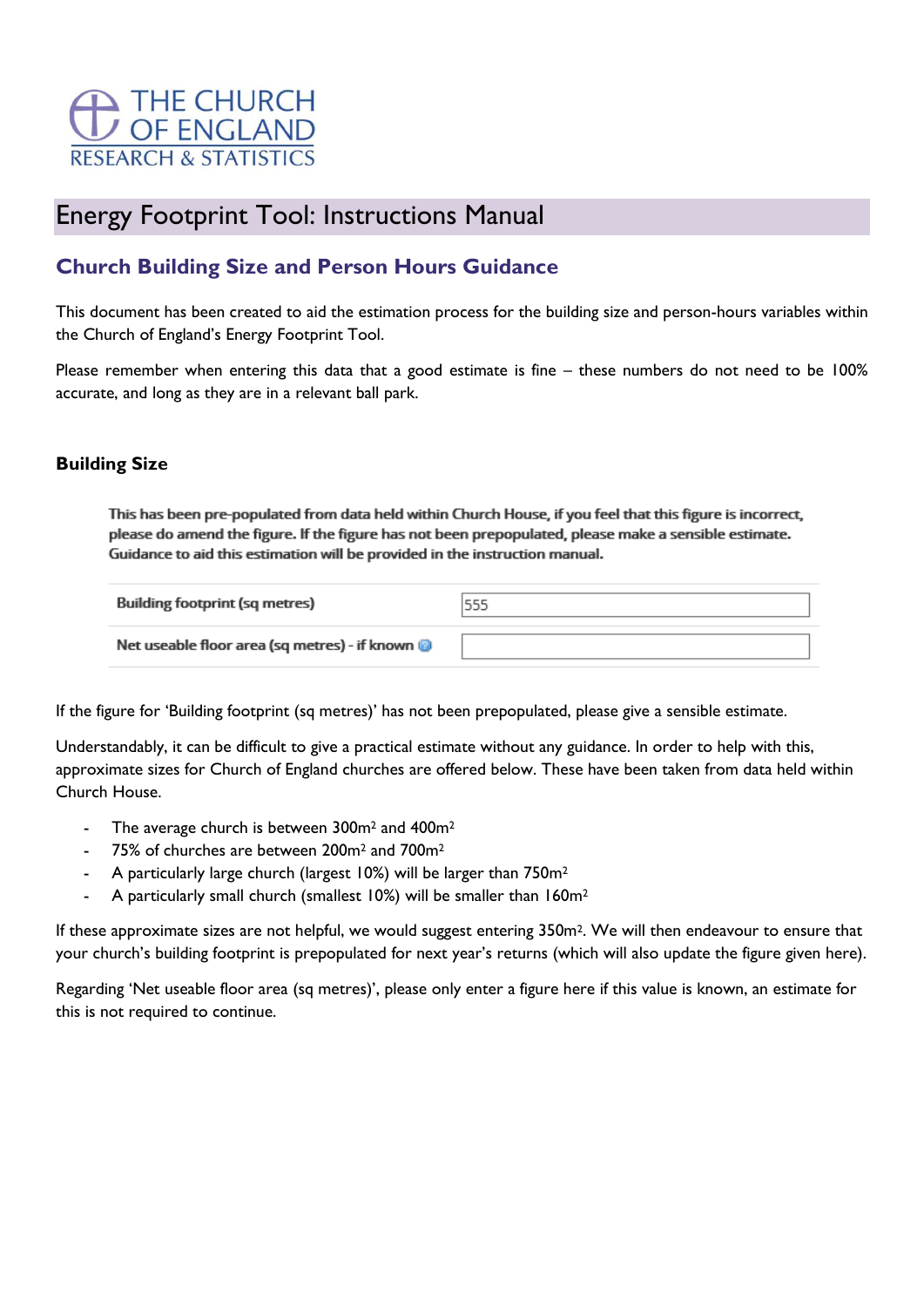

# Energy Footprint Tool: Instructions Manual

## **Church Building Size and Person Hours Guidance**

This document has been created to aid the estimation process for the building size and person-hours variables within the Church of England's Energy Footprint Tool.

Please remember when entering this data that a good estimate is fine – these numbers do not need to be 100% accurate, and long as they are in a relevant ball park.

## **Building Size**

This has been pre-populated from data held within Church House, if you feel that this figure is incorrect, please do amend the figure. If the figure has not been prepopulated, please make a sensible estimate. Guidance to aid this estimation will be provided in the instruction manual.

| <b>Building footprint (sq metres)</b>         | 555 |  |
|-----------------------------------------------|-----|--|
| Net useable floor area (sq metres) - if known |     |  |

If the figure for 'Building footprint (sq metres)' has not been prepopulated, please give a sensible estimate.

Understandably, it can be difficult to give a practical estimate without any guidance. In order to help with this, approximate sizes for Church of England churches are offered below. These have been taken from data held within Church House.

- The average church is between 300m<sup>2</sup> and 400m<sup>2</sup>
- 75% of churches are between 200m<sup>2</sup> and 700m<sup>2</sup>
- A particularly large church (largest 10%) will be larger than 750m<sup>2</sup>
- A particularly small church (smallest 10%) will be smaller than 160m<sup>2</sup>

If these approximate sizes are not helpful, we would suggest entering 350m2. We will then endeavour to ensure that your church's building footprint is prepopulated for next year's returns (which will also update the figure given here).

Regarding 'Net useable floor area (sq metres)', please only enter a figure here if this value is known, an estimate for this is not required to continue.